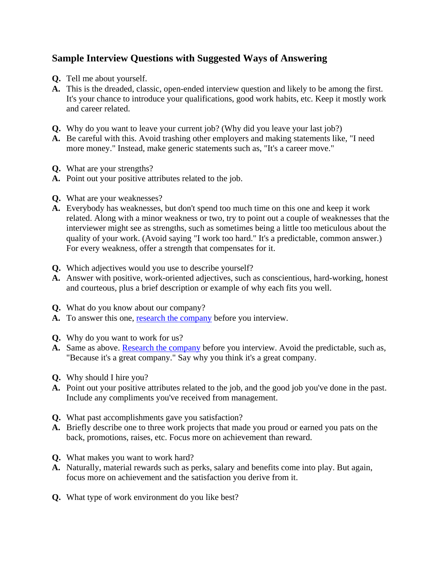## **Sample Interview Questions with Suggested Ways of Answering**

- **Q.** Tell me about yourself.
- **A.** This is the dreaded, classic, open-ended interview question and likely to be among the first. It's your chance to introduce your qualifications, good work habits, etc. Keep it mostly work and career related.
- **Q.** Why do you want to leave your current job? (Why did you leave your last job?)
- **A.** Be careful with this. Avoid trashing other employers and making statements like, "I need more money." Instead, make generic statements such as, "It's a career move."
- **Q.** What are your strengths?
- **A.** Point out your positive attributes related to the job.
- **Q.** What are your weaknesses?
- **A.** Everybody has weaknesses, but don't spend too much time on this one and keep it work related. Along with a minor weakness or two, try to point out a couple of weaknesses that the interviewer might see as strengths, such as sometimes being a little too meticulous about the quality of your work. (Avoid saying "I work too hard." It's a predictable, common answer.) For every weakness, offer a strength that compensates for it.
- **Q.** Which adjectives would you use to describe yourself?
- **A.** Answer with positive, work-oriented adjectives, such as conscientious, hard-working, honest and courteous, plus a brief description or example of why each fits you well.
- **Q.** What do you know about our company?
- **A.** To answer this one, [research the company](http://jobsearchtech.about.com/library/weekly/aa080299.htm) before you interview.
- **Q.** Why do you want to work for us?
- A. Same as above. **Research the company** before you interview. Avoid the predictable, such as, "Because it's a great company." Say why you think it's a great company.
- **Q.** Why should I hire you?
- **A.** Point out your positive attributes related to the job, and the good job you've done in the past. Include any compliments you've received from management.
- **Q.** What past accomplishments gave you satisfaction?
- **A.** Briefly describe one to three work projects that made you proud or earned you pats on the back, promotions, raises, etc. Focus more on achievement than reward.
- **Q.** What makes you want to work hard?
- **A.** Naturally, material rewards such as perks, salary and benefits come into play. But again, focus more on achievement and the satisfaction you derive from it.
- **Q.** What type of work environment do you like best?